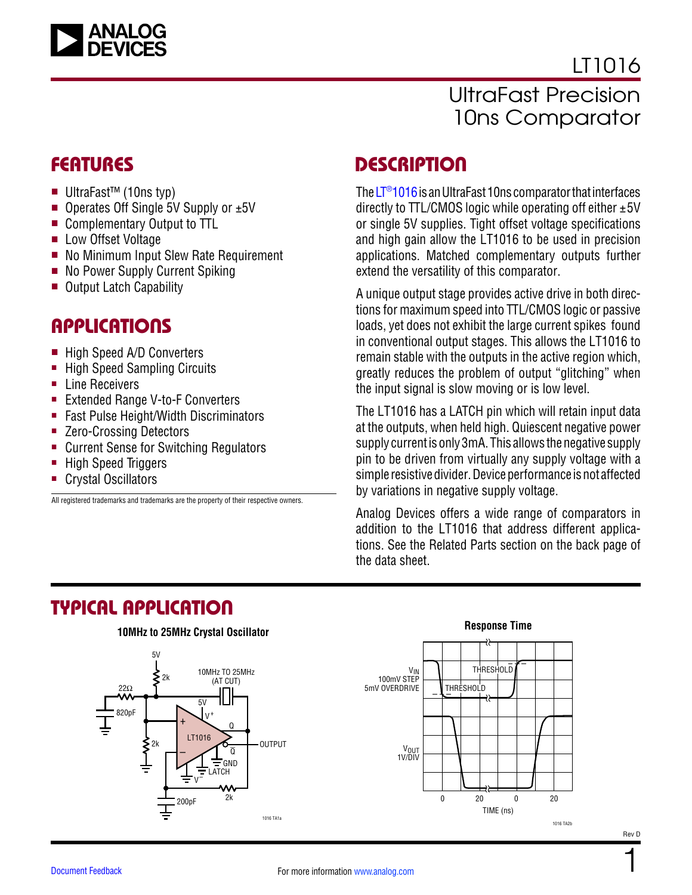

LT1016 UltraFast Precision 10ns Comparator

- UltraFast<sup>™</sup> (10ns typ)
- **n** Operates Off Single 5V Supply or  $\pm 5V$
- Complementary Output to TTL
- Low Offset Voltage
- No Minimum Input Slew Rate Requirement
- No Power Supply Current Spiking
- Output Latch Capability

### **APPLICATIONS**

- High Speed A/D Converters
- High Speed Sampling Circuits
- Line Receivers
- Extended Range V-to-F Converters
- Fast Pulse Height/Width Discriminators
- Zero-Crossing Detectors
- Current Sense for Switching Regulators
- High Speed Triggers
- Crystal Oscillators

All registered trademarks and trademarks are the property of their respective owners.

### FEATURES DESCRIPTION

The  $LT<sup>®</sup>1016$  is an UltraFast 10ns comparator that interfaces directly to TTL/CMOS logic while operating off either  $\pm 5V$ or single 5V supplies. Tight offset voltage specifications and high gain allow the LT1016 to be used in precision applications. Matched complementary outputs further extend the versatility of this comparator.

A unique output stage provides active drive in both directions for maximum speed into TTL/CMOS logic or passive loads, yet does not exhibit the large current spikes found in conventional output stages. This allows the LT1016 to remain stable with the outputs in the active region which, greatly reduces the problem of output "glitching" when the input signal is slow moving or is low level.

The LT1016 has a LATCH pin which will retain input data at the outputs, when held high. Quiescent negative power supply current is only 3mA. This allows the negative supply pin to be driven from virtually any supply voltage with a simple resistive divider. Device performance is not affected by variations in negative supply voltage.

Analog Devices offers a wide range of comparators in addition to the LT1016 that address different applications. See the [Related Parts](#page-21-0) section on the back page of the data sheet.

#### TYPICAL APPLICATION

#### **10MHz to 25MHz Crystal Oscillator**





#### **Response Time**

1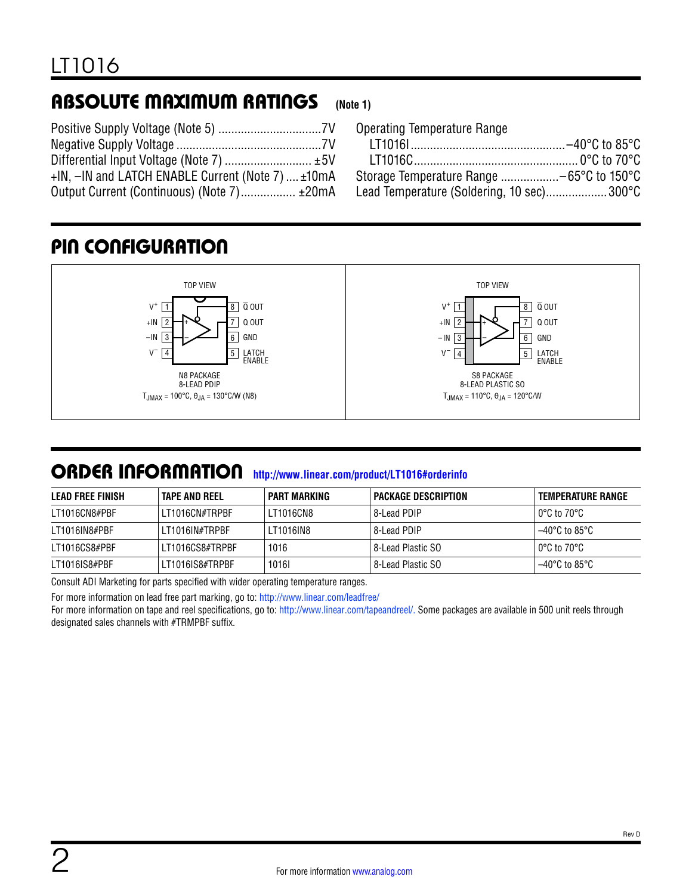#### ABSOLUTE MAXIMUM RATINGS **(Note 1)**

| Differential Input Voltage (Note 7)  ±5V          |  |
|---------------------------------------------------|--|
| +IN, -IN and LATCH ENABLE Current (Note 7)  ±10mA |  |
| Output Current (Continuous) (Note 7) ±20mA        |  |

| <b>Operating Temperature Range</b>        |  |
|-------------------------------------------|--|
|                                           |  |
|                                           |  |
| Storage Temperature Range -65°C to 150°C  |  |
| Lead Temperature (Soldering, 10 sec)300°C |  |
|                                           |  |

# PIN CONFIGURATION



### ORDER INFORMATION **[http://www.linear.com/product/LT1016#orderinfo](http://www.linear.com/product/LT1016#orderinfo?doc=LTC1016.pdf)**

| LEAD FREE FINISH | <b>TAPE AND REEL</b> | PART MARKING | <b>PACKAGE DESCRIPTION</b> | TEMPERATURE RANGE               |
|------------------|----------------------|--------------|----------------------------|---------------------------------|
| LT1016CN8#PBF    | LT1016CN#TRPBF       | LT1016CN8    | l 8-Lead PDIP l            | l 0°C to 70°C                   |
| LT1016IN8#PBF    | LT1016IN#TRPBF       | LT1016IN8    | 8-Lead PDIP                | $-40^{\circ}$ C to 85°C $^{-1}$ |
| LT1016CS8#PBF    | LT1016CS8#TRPBF      | 1016         | 8-Lead Plastic SO          | l 0°C to 70°C.                  |
| LT1016IS8#PBF    | LT1016IS8#TRPBF      | 10161        | 8-Lead Plastic SO          | $-40^{\circ}$ C to 85°C $^{-1}$ |

Consult ADI Marketing for parts specified with wider operating temperature ranges.

For more information on lead free part marking, go to: [http://www.linear.com/leadfree/](http://www.linear.com/leadfree?doc=lt1016.pdf)

For more information on tape and reel specifications, go to: [http://www.linear.com/tapeandreel/.](http://www.linear.com/tapeandreel?doc=lt1016.pdf) Some packages are available in 500 unit reels through designated sales channels with #TRMPBF suffix.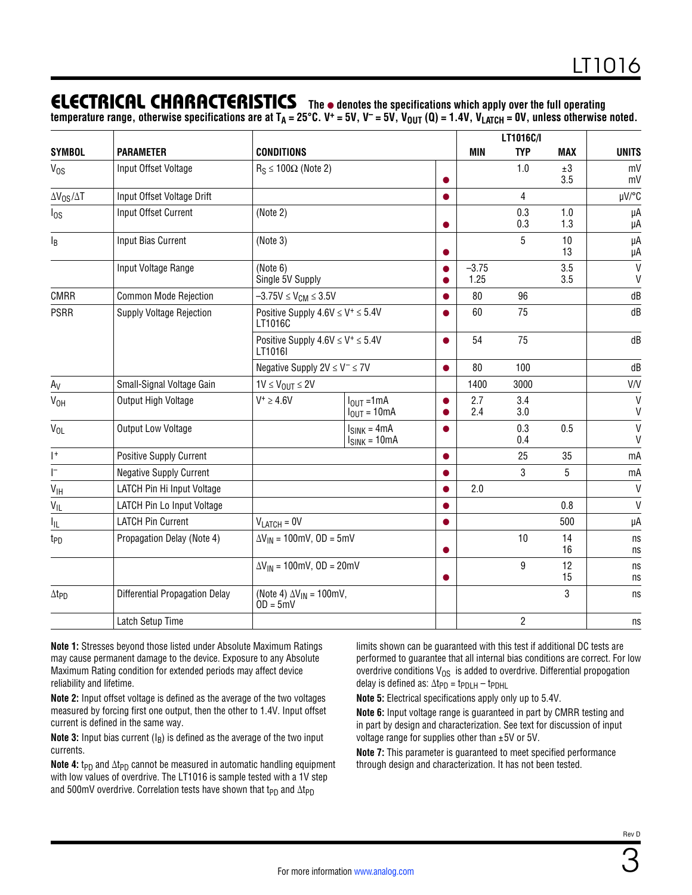### **ELECTRICAL CHARACTERISTICS** The  $\bullet$  denotes the specifications which apply over the full operating

temperature range, otherwise specifications are at T<sub>A</sub> = 25°C. V\* = 5V, V<sup>-</sup> = 5V, V<sub>OUT</sub> (Q) = 1.4V, V<sub>LATCH</sub> = 0V, unless otherwise noted.

|                          |                                       |                                                                   |                                                                   | LT1016C/I       |            |                |                   |                              |
|--------------------------|---------------------------------------|-------------------------------------------------------------------|-------------------------------------------------------------------|-----------------|------------|----------------|-------------------|------------------------------|
| <b>SYMBOL</b>            | <b>PARAMETER</b>                      | <b>CONDITIONS</b>                                                 |                                                                   |                 | MIN        | <b>TYP</b>     | <b>MAX</b>        | <b>UNITS</b>                 |
| V <sub>os</sub>          | Input Offset Voltage                  | $R_S \le 100\Omega$ (Note 2)<br>●                                 |                                                                   |                 | 1.0        | ±3<br>3.5      | mV<br>mV          |                              |
| $\Delta V_{OS}/\Delta T$ | Input Offset Voltage Drift            |                                                                   |                                                                   | $\bullet$       |            | 4              |                   | µV/°C                        |
| $I_{OS}$                 | Input Offset Current                  | (Note 2)                                                          |                                                                   | $\bullet$       |            | 0.3<br>0.3     | 1.0<br>1.3        | μA<br>μA                     |
| $I_B$                    | Input Bias Current                    | (Note 3)                                                          |                                                                   | $\bullet$       |            | 5              | 10<br>13          | μA<br>μA                     |
|                          | Input Voltage Range                   | (Note 6)<br>Single 5V Supply                                      |                                                                   | $-3.75$<br>1.25 |            | 3.5<br>3.5     | V<br>$\mathsf{V}$ |                              |
| <b>CMRR</b>              | <b>Common Mode Rejection</b>          | $-3.75V \le V_{CM} \le 3.5V$                                      |                                                                   |                 | 80         | 96             |                   | dB                           |
| <b>PSRR</b>              | <b>Supply Voltage Rejection</b>       | Positive Supply $4.6V \le V^+ \le 5.4V$<br>LT1016C                |                                                                   | 60              | 75         |                | dB                |                              |
|                          |                                       | Positive Supply $4.6V \leq V^+ \leq 5.4V$<br>$\bullet$<br>LT1016I |                                                                   | 54              | 75         |                | dB                |                              |
|                          | Negative Supply $2V \leq V^- \leq 7V$ |                                                                   |                                                                   | $\bullet$       | 80         | 100            |                   | dB                           |
| $A_V$                    | Small-Signal Voltage Gain             | $1V \leq V_{OUT} \leq 2V$                                         |                                                                   |                 | 1400       | 3000           |                   | V/V                          |
| $V_{OH}$                 | Output High Voltage                   | $V^+ \geq 4.6V$                                                   | $I_{\text{OUT}} = 1 \text{mA}$<br>$I_{\text{OUT}} = 10 \text{mA}$ | ●               | 2.7<br>2.4 | 3.4<br>3.0     |                   | V<br>V                       |
| $V_{OL}$                 | Output Low Voltage                    |                                                                   | $I_{SINK} = 4mA$<br>$I_{SINK} = 10mA$                             |                 |            | 0.3<br>0.4     | 0.5               | $\mathsf{V}$<br>$\mathsf{V}$ |
| $ $ <sup>+</sup>         | Positive Supply Current               |                                                                   |                                                                   | $\bullet$       |            | 25             | 35                | mA                           |
| $\Gamma$                 | <b>Negative Supply Current</b>        |                                                                   |                                                                   | $\bullet$       |            | 3              | 5                 | mA                           |
| $V_{\text{IH}}$          | LATCH Pin Hi Input Voltage            |                                                                   |                                                                   |                 | 2.0        |                |                   | $\mathsf{V}$                 |
| $V_{IL}$                 | LATCH Pin Lo Input Voltage            |                                                                   | $\bullet$                                                         |                 |            |                | 0.8               | $\mathsf{V}$                 |
| Ιı                       | <b>LATCH Pin Current</b>              | $V_{LATCH} = 0V$<br>$\bullet$                                     |                                                                   |                 |            | 500            | μA                |                              |
| t <sub>PD</sub>          | Propagation Delay (Note 4)            | $\Delta V_{IN}$ = 100mV, OD = 5mV                                 |                                                                   |                 | 10         | 14<br>16       | ns<br>ns          |                              |
|                          |                                       | $\Delta V_{IN}$ = 100mV, OD = 20mV<br>$\bullet$                   |                                                                   |                 | 9          | 12<br>15       | ns<br>ns          |                              |
| $\Delta t_{PD}$          | <b>Differential Propagation Delay</b> | (Note 4) $\Delta V_{IN}$ = 100mV,<br>$OD = 5mV$                   |                                                                   |                 |            | 3              | ns                |                              |
|                          | Latch Setup Time                      |                                                                   |                                                                   |                 |            | $\overline{c}$ |                   | ns                           |

**Note 1:** Stresses beyond those listed under Absolute Maximum Ratings may cause permanent damage to the device. Exposure to any Absolute Maximum Rating condition for extended periods may affect device reliability and lifetime.

**Note 2:** Input offset voltage is defined as the average of the two voltages measured by forcing first one output, then the other to 1.4V. Input offset current is defined in the same way.

**Note 3:** Input bias current  $(I_B)$  is defined as the average of the two input currents.

Note 4: t<sub>PD</sub> and ∆t<sub>PD</sub> cannot be measured in automatic handling equipment with low values of overdrive. The LT1016 is sample tested with a 1V step and 500mV overdrive. Correlation tests have shown that t<sub>PD</sub> and  $\Delta t_{PD}$ 

limits shown can be guaranteed with this test if additional DC tests are performed to guarantee that all internal bias conditions are correct. For low overdrive conditions  $V_{OS}$  is added to overdrive. Differential propogation delay is defined as:  $\Delta t_{PD} = t_{PDLH} - t_{PDHL}$ 

**Note 5:** Electrical specifications apply only up to 5.4V.

**Note 6:** Input voltage range is guaranteed in part by CMRR testing and in part by design and characterization. See text for discussion of input voltage range for supplies other than ±5V or 5V.

**Note 7:** This parameter is guaranteed to meet specified performance through design and characterization. It has not been tested.

3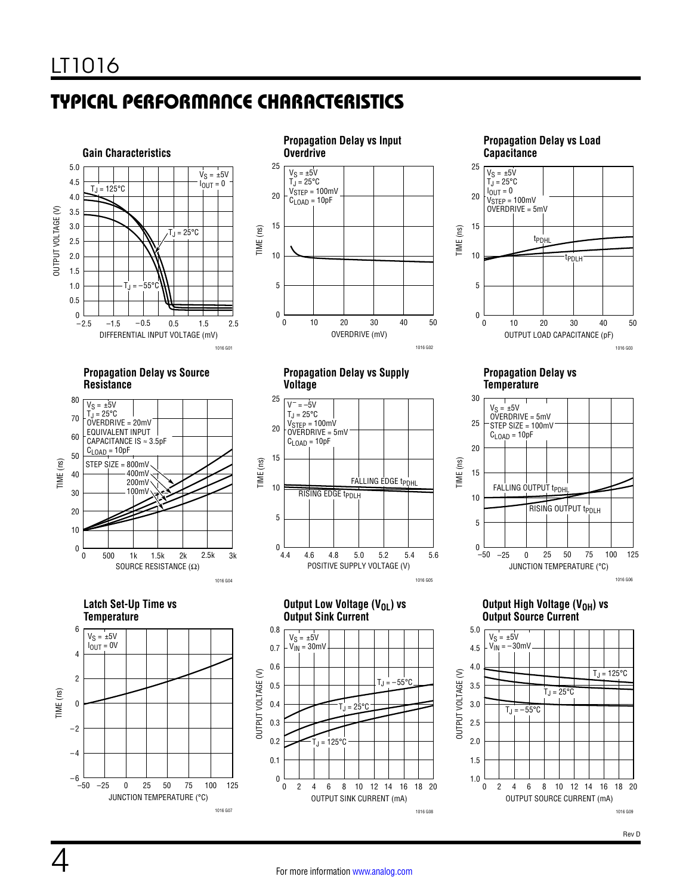# TYPICAL PERFORMANCE CHARACTERISTICS



**Propagation Delay vs Source Resistance**







**Propagation Delay vs Supply Voltage**



**Output Low Voltage (V<sub>OL</sub>) vs Output Sink Current**



**Propagation Delay vs Load Capacitance** OUTPUT LOAD CAPACITANCE (pF) 0 TIME (ns) 25 20 15 10 5 0 40 10 20 30 50  $V_S = \pm 5V$  $T_J = 25^{\circ}C$  $I_{\text{OUT}} = 0$  $V_{\footnotesize{\text{STEP}}}$  = 100mV OVERDRIVE = 5mV tPDHL tPDLH



**Propagation Delay vs Temperature**



**Output High Voltage (V<sub>OH</sub>) vs Output Source Current**



Rev D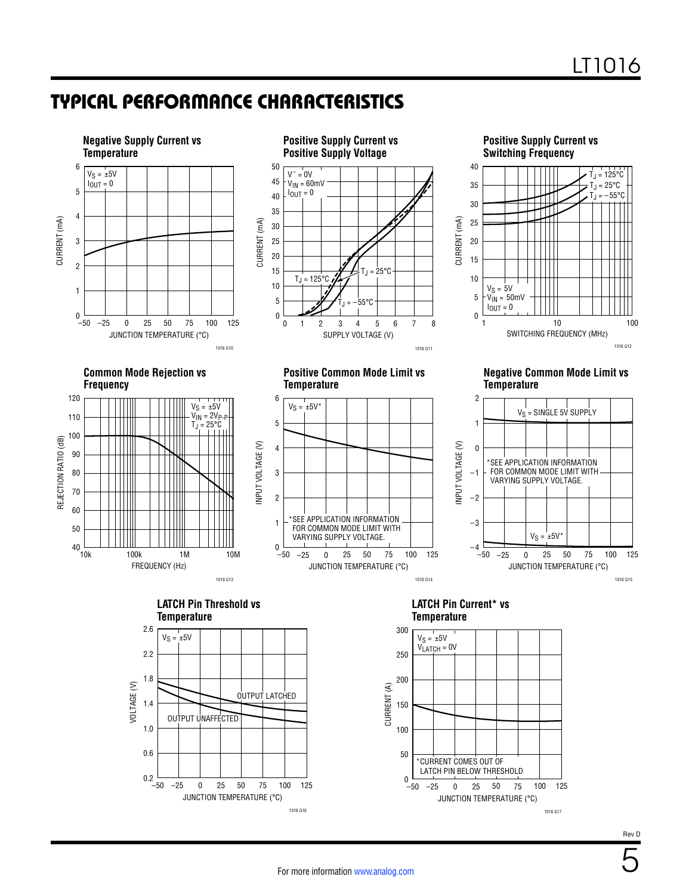### TYPICAL PERFORMANCE CHARACTERISTICS



Rev D

1016 G17

5

1016 G16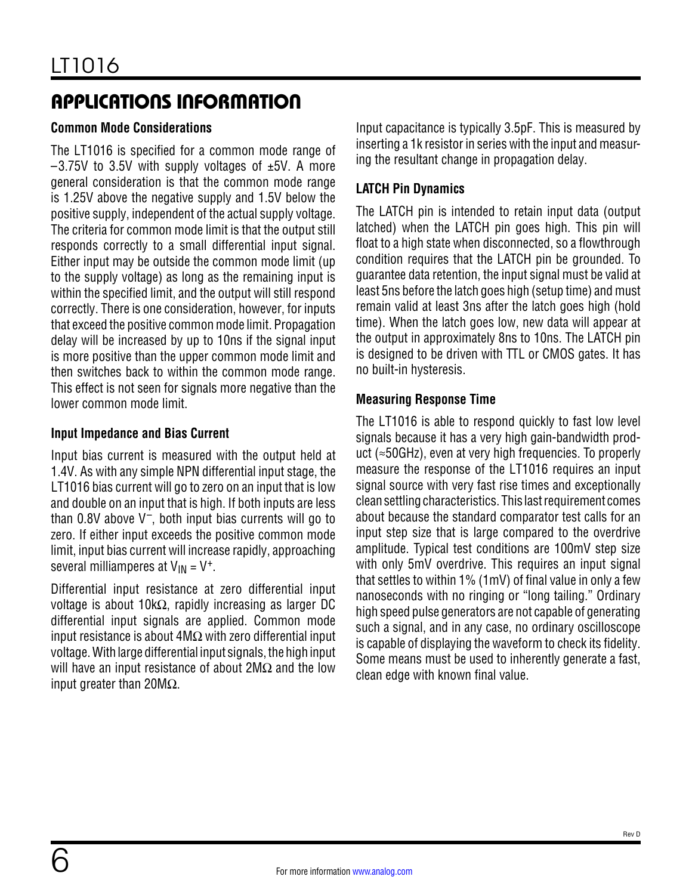#### **Common Mode Considerations**

The LT1016 is specified for a common mode range of  $-3.75V$  to 3.5V with supply voltages of  $\pm 5V$ . A more general consideration is that the common mode range is 1.25V above the negative supply and 1.5V below the positive supply, independent of the actual supply voltage. The criteria for common mode limit is that the output still responds correctly to a small differential input signal. Either input may be outside the common mode limit (up to the supply voltage) as long as the remaining input is within the specified limit, and the output will still respond correctly. There is one consideration, however, for inputs that exceed the positive common mode limit. Propagation delay will be increased by up to 10ns if the signal input is more positive than the upper common mode limit and then switches back to within the common mode range. This effect is not seen for signals more negative than the lower common mode limit.

#### **Input Impedance and Bias Current**

Input bias current is measured with the output held at 1.4V. As with any simple NPN differential input stage, the LT1016 bias current will go to zero on an input that is low and double on an input that is high. If both inputs are less than 0.8V above  $V^-$ , both input bias currents will go to zero. If either input exceeds the positive common mode limit, input bias current will increase rapidly, approaching several milliamperes at  $V_{IN} = V^+$ .

Differential input resistance at zero differential input voltage is about 10kΩ, rapidly increasing as larger DC differential input signals are applied. Common mode input resistance is about 4MΩ with zero differential input voltage. With large differential input signals, the high input will have an input resistance of about  $2M\Omega$  and the low input greater than 20MΩ.

Input capacitance is typically 3.5pF. This is measured by inserting a 1k resistor in series with the input and measuring the resultant change in propagation delay.

#### **LATCH Pin Dynamics**

The LATCH pin is intended to retain input data (output latched) when the LATCH pin goes high. This pin will float to a high state when disconnected, so a flowthrough condition requires that the LATCH pin be grounded. To guarantee data retention, the input signal must be valid at least 5ns before the latch goes high (setup time) and must remain valid at least 3ns after the latch goes high (hold time). When the latch goes low, new data will appear at the output in approximately 8ns to 10ns. The LATCH pin is designed to be driven with TTL or CMOS gates. It has no built-in hysteresis.

#### **Measuring Response Time**

The LT1016 is able to respond quickly to fast low level signals because it has a very high gain-bandwidth product (≈50GHz), even at very high frequencies. To properly measure the response of the LT1016 requires an input signal source with very fast rise times and exceptionally clean settling characteristics. This last requirement comes about because the standard comparator test calls for an input step size that is large compared to the overdrive amplitude. Typical test conditions are 100mV step size with only 5mV overdrive. This requires an input signal that settles to within 1% (1mV) of final value in only a few nanoseconds with no ringing or "long tailing." Ordinary high speed pulse generators are not capable of generating such a signal, and in any case, no ordinary oscilloscope is capable of displaying the waveform to check its fidelity. Some means must be used to inherently generate a fast, clean edge with known final value.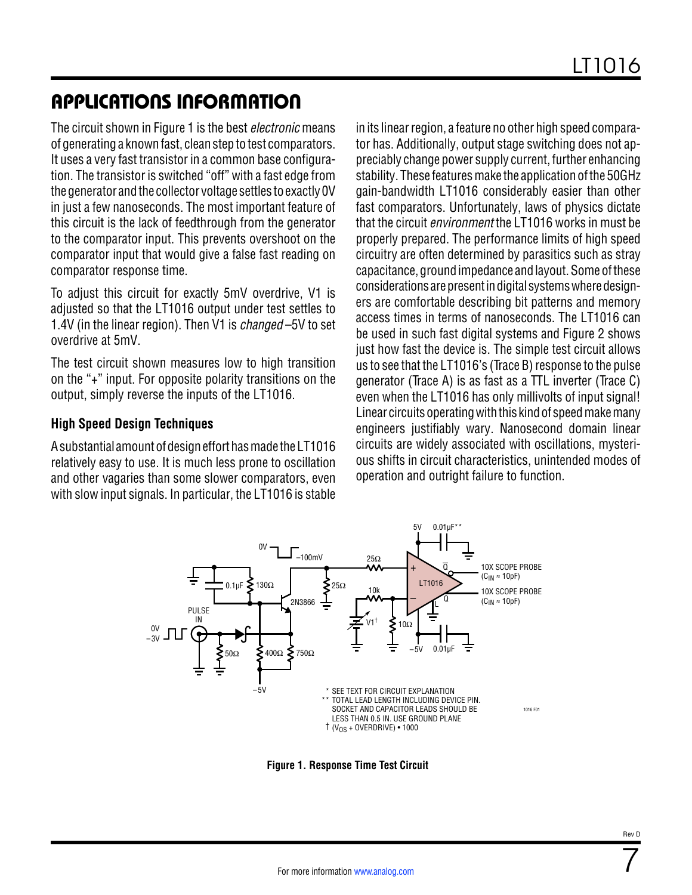The circuit shown in [Figure 1](#page-6-0) is the best *electronic* means of generating a known fast, clean step to test comparators. It uses a very fast transistor in a common base configuration. The transistor is switched "off" with a fast edge from the generator and the collector voltage settles to exactly 0V in just a few nanoseconds. The most important feature of this circuit is the lack of feedthrough from the generator to the comparator input. This prevents overshoot on the comparator input that would give a false fast reading on comparator response time.

To adjust this circuit for exactly 5mV overdrive, V1 is adjusted so that the LT1016 output under test settles to 1.4V (in the linear region). Then V1 is *changed* –5V to set overdrive at 5mV.

The test circuit shown measures low to high transition on the "+" input. For opposite polarity transitions on the output, simply reverse the inputs of the LT1016.

#### **High Speed Design Techniques**

A substantial amountofdesignefforthasmade theLT1016 relatively easy to use. It is much less prone to oscillation and other vagaries than some slower comparators, even with slow input signals. In particular, the LT1016 is stable

in its linear region, a feature no other high speed comparator has. Additionally, output stage switching does not appreciably change power supply current, further enhancing stability. These features make the application of the 50GHz gain-bandwidth LT1016 considerably easier than other fast comparators. Unfortunately, laws of physics dictate that the circuit *environment* the LT1016 works in must be properly prepared. The performance limits of high speed circuitry are often determined by parasitics such as stray capacitance, ground impedance and layout. Some of these considerations are present in digital systems where designers are comfortable describing bit patterns and memory access times in terms of nanoseconds. The LT1016 can be used in such fast digital systems and Figure 2 shows just how fast the device is. The simple test circuit allows us to see that the LT1016's (Trace B) response to the pulse generator (Trace A) is as fast as a TTL inverter (Trace C) even when the LT1016 has only millivolts of input signal! Linear circuits operating with this kind of speed make many engineers justifiably wary. Nanosecond domain linear circuits are widely associated with oscillations, mysterious shifts in circuit characteristics, unintended modes of operation and outright failure to function.



<span id="page-6-0"></span>**Figure 1. Response Time Test Circuit**

7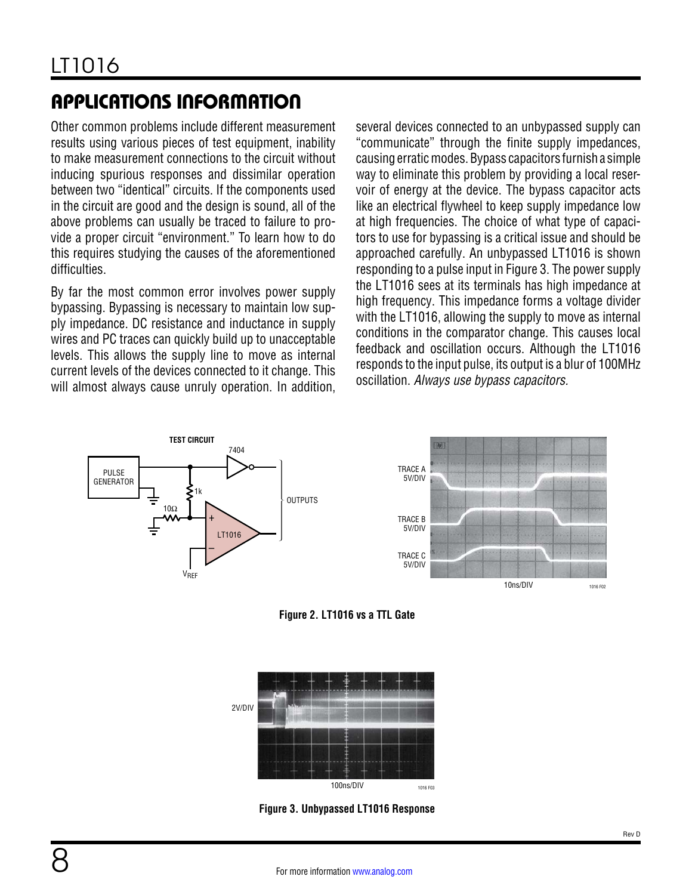Other common problems include different measurement results using various pieces of test equipment, inability to make measurement connections to the circuit without inducing spurious responses and dissimilar operation between two "identical" circuits. If the components used in the circuit are good and the design is sound, all of the above problems can usually be traced to failure to provide a proper circuit "environment." To learn how to do this requires studying the causes of the aforementioned difficulties.

By far the most common error involves power supply bypassing. Bypassing is necessary to maintain low supply impedance. DC resistance and inductance in supply wires and PC traces can quickly build up to unacceptable levels. This allows the supply line to move as internal current levels of the devices connected to it change. This will almost always cause unruly operation. In addition, several devices connected to an unbypassed supply can "communicate" through the finite supply impedances, causing erratic modes. Bypass capacitors furnish a simple way to eliminate this problem by providing a local reservoir of energy at the device. The bypass capacitor acts like an electrical flywheel to keep supply impedance low at high frequencies. The choice of what type of capacitors to use for bypassing is a critical issue and should be approached carefully. An unbypassed LT1016 is shown responding to a pulse input in [Figure 3.](#page-7-0) The power supply the LT1016 sees at its terminals has high impedance at high frequency. This impedance forms a voltage divider with the LT1016, allowing the supply to move as internal conditions in the comparator change. This causes local feedback and oscillation occurs. Although the LT1016 responds to the input pulse, its output is a blur of 100MHz oscillation. *Always use bypass capacitors.* 









<span id="page-7-0"></span>**Figure 3. Unbypassed LT1016 Response**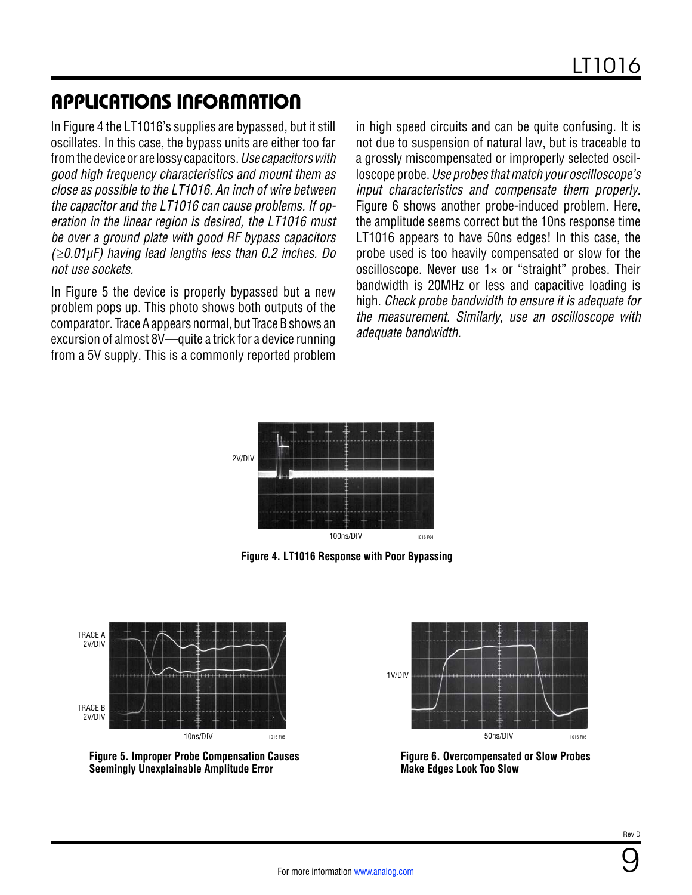In [Figure 4](#page-8-0) the LT1016's supplies are bypassed, but it still oscillates. In this case, the bypass units are either too far fromthedeviceor are lossy capacitors.*Use capacitorswith good high frequency characteristics and mount them as close as possible to the LT1016. An inch of wire between the capacitor and the LT1016 can cause problems. If operation in the linear region is desired, the LT1016 must be over a ground plate with good RF bypass capacitors (≥0.01µF) having lead lengths less than 0.2 inches. Do not use sockets.*

In [Figure 5](#page-8-1) the device is properly bypassed but a new problem pops up. This photo shows both outputs of the comparator. Trace A appears normal, but Trace B shows an excursion of almost 8V—quite a trick for a device running from a 5V supply. This is a commonly reported problem in high speed circuits and can be quite confusing. It is not due to suspension of natural law, but is traceable to a grossly miscompensated or improperly selected oscilloscope probe. *Use probes that match your oscilloscope's input characteristics and compensate them properly.*  [Figure 6](#page-8-2) shows another probe-induced problem. Here, the amplitude seems correct but the 10ns response time LT1016 appears to have 50ns edges! In this case, the probe used is too heavily compensated or slow for the oscilloscope. Never use  $1 \times$  or "straight" probes. Their bandwidth is 20MHz or less and capacitive loading is high. *Check probe bandwidth to ensure it is adequate for the measurement. Similarly, use an oscilloscope with adequate bandwidth.*



<span id="page-8-0"></span>**Figure 4. LT1016 Response with Poor Bypassing**



<span id="page-8-1"></span>



<span id="page-8-2"></span>

9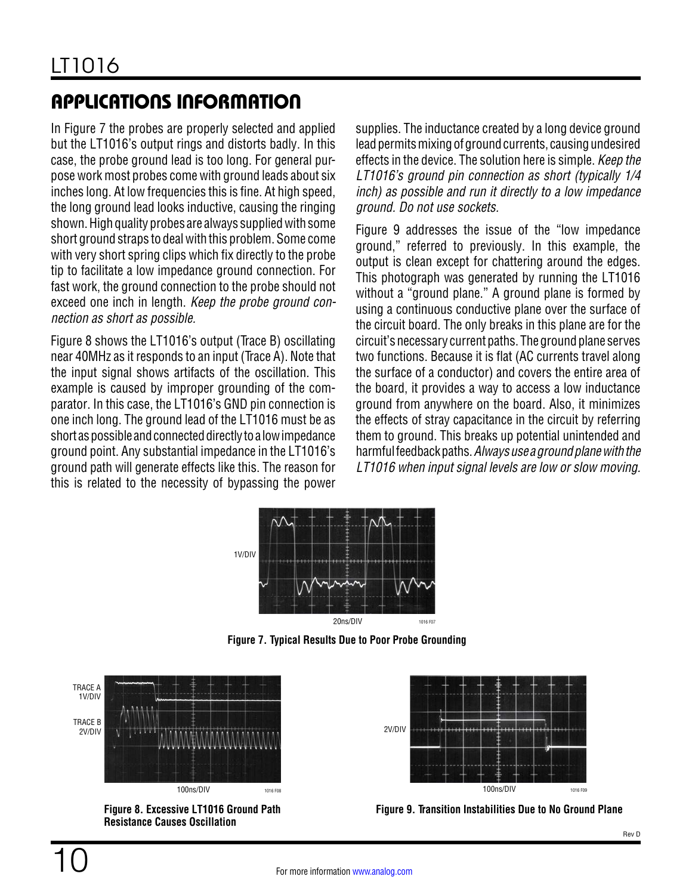In [Figure 7](#page-9-0) the probes are properly selected and applied but the LT1016's output rings and distorts badly. In this case, the probe ground lead is too long. For general purpose work most probes come with ground leads about six inches long. At low frequencies this is fine. At high speed, the long ground lead looks inductive, causing the ringing shown. High quality probes are always supplied with some short ground straps to deal with this problem. Some come with very short spring clips which fix directly to the probe tip to facilitate a low impedance ground connection. For fast work, the ground connection to the probe should not exceed one inch in length. *Keep the probe ground connection as short as possible.*

[Figure 8](#page-9-1) shows the LT1016's output (Trace B) oscillating near 40MHz as it responds to an input (Trace A). Note that the input signal shows artifacts of the oscillation. This example is caused by improper grounding of the comparator. In this case, the LT1016's GND pin connection is one inch long. The ground lead of the LT1016 must be as short as possible and connected directly to a low impedance ground point. Any substantial impedance in the LT1016's ground path will generate effects like this. The reason for this is related to the necessity of bypassing the power supplies. The inductance created by a long device ground lead permits mixing of ground currents, causing undesired effects in the device. The solution here is simple. *Keep the LT1016's ground pin connection as short (typically 1/4 inch) as possible and run it directly to a low impedance ground. Do not use sockets.*

[Figure 9](#page-9-2) addresses the issue of the "low impedance ground," referred to previously. In this example, the output is clean except for chattering around the edges. This photograph was generated by running the LT1016 without a "ground plane." A ground plane is formed by using a continuous conductive plane over the surface of the circuit board. The only breaks in this plane are for the circuit's necessary current paths. The ground plane serves two functions. Because it is flat (AC currents travel along the surface of a conductor) and covers the entire area of the board, it provides a way to access a low inductance ground from anywhere on the board. Also, it minimizes the effects of stray capacitance in the circuit by referring them to ground. This breaks up potential unintended and harmfulfeedback paths. Always use a ground plane with the *LT1016 when input signal levels are low or slow moving.*



<span id="page-9-0"></span>**Figure 7. Typical Results Due to Poor Probe Grounding**



<span id="page-9-1"></span>**Figure 8. Excessive LT1016 Ground Path Resistance Causes Oscillation**



<span id="page-9-2"></span>**Figure 9. Transition Instabilities Due to No Ground Plane**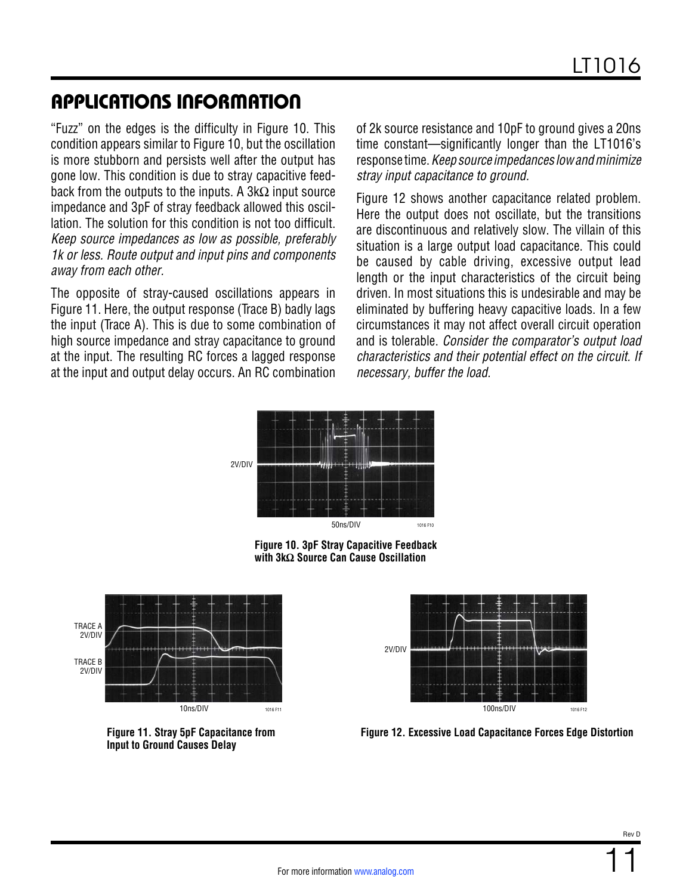"Fuzz" on the edges is the difficulty in [Figure 10.](#page-10-0) This condition appears similar to [Figure 10,](#page-10-0) but the oscillation is more stubborn and persists well after the output has gone low. This condition is due to stray capacitive feedback from the outputs to the inputs. A  $3k\Omega$  input source impedance and 3pF of stray feedback allowed this oscillation. The solution for this condition is not too difficult. *Keep source impedances as low as possible, preferably 1k or less. Route output and input pins and components away from each other.*

The opposite of stray-caused oscillations appears in [Figure 11.](#page-10-1) Here, the output response (Trace B) badly lags the input (Trace A). This is due to some combination of high source impedance and stray capacitance to ground at the input. The resulting RC forces a lagged response at the input and output delay occurs. An RC combination of 2k source resistance and 10pF to ground gives a 20ns time constant—significantly longer than the LT1016's response time. *Keepsource impedances lowandminimize stray input capacitance to ground.*

[Figure 12](#page-10-2) shows another capacitance related problem. Here the output does not oscillate, but the transitions are discontinuous and relatively slow. The villain of this situation is a large output load capacitance. This could be caused by cable driving, excessive output lead length or the input characteristics of the circuit being driven. In most situations this is undesirable and may be eliminated by buffering heavy capacitive loads. In a few circumstances it may not affect overall circuit operation and is tolerable. *Consider the comparator's output load characteristics and their potential effect on the circuit. If necessary, buffer the load.*



<span id="page-10-0"></span>**Figure 10. 3pF Stray Capacitive Feedback with 3kΩ Source Can Cause Oscillation**



<span id="page-10-1"></span>**Figure 11. Stray 5pF Capacitance from Input to Ground Causes Delay**



<span id="page-10-2"></span>**Figure 12. Excessive Load Capacitance Forces Edge Distortion**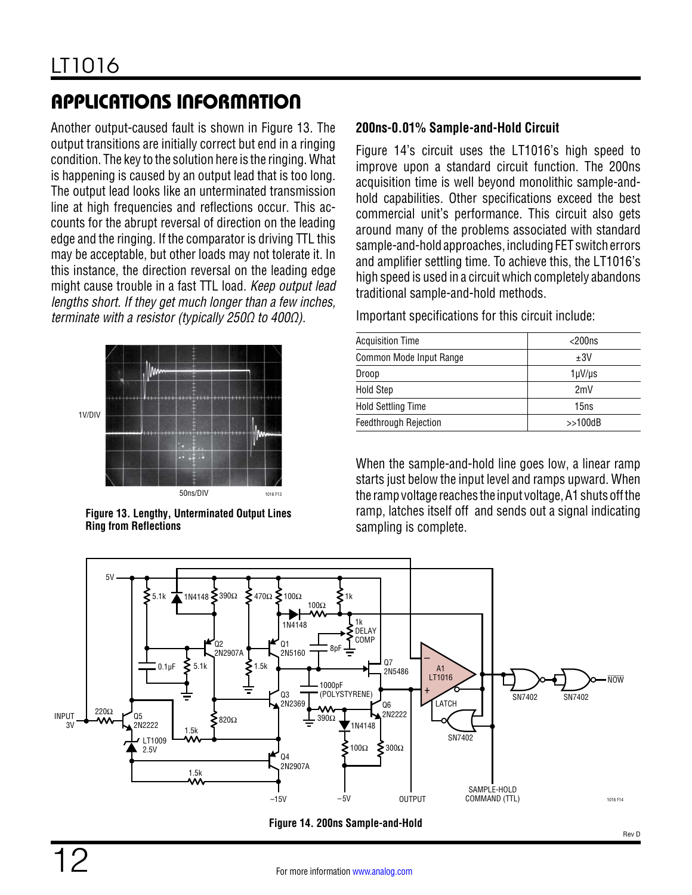Another output-caused fault is shown in [Figure 13](#page-11-0). The output transitions are initially correct but end in a ringing condition. The key to the solution here is the ringing. What is happening is caused by an output lead that is too long. The output lead looks like an unterminated transmission line at high frequencies and reflections occur. This accounts for the abrupt reversal of direction on the leading edge and the ringing. If the comparator is driving TTL this may be acceptable, but other loads may not tolerate it. In this instance, the direction reversal on the leading edge might cause trouble in a fast TTL load. *Keep output lead lengths short. If they get much longer than a few inches, terminate with a resistor (typically 250Ω to 400Ω).*



<span id="page-11-0"></span>**Figure 13. Lengthy, Unterminated Output Lines Ring from Reflections**

#### **200ns-0.01% Sample-and-Hold Circuit**

[Figure 14'](#page-11-1)s circuit uses the LT1016's high speed to improve upon a standard circuit function. The 200ns acquisition time is well beyond monolithic sample-andhold capabilities. Other specifications exceed the best commercial unit's performance. This circuit also gets around many of the problems associated with standard sample-and-hold approaches, including FET switch errors and amplifier settling time. To achieve this, the LT1016's high speed is used in a circuit which completely abandons traditional sample-and-hold methods.

Important specifications for this circuit include:

| <b>Acquisition Time</b>      | $<$ 200 $ns$ |
|------------------------------|--------------|
| Common Mode Input Range      | ±3V          |
| Droop                        | 1µV/µs       |
| <b>Hold Step</b>             | 2mV          |
| <b>Hold Settling Time</b>    | 15ns         |
| <b>Feedthrough Rejection</b> | >>100dB      |

When the sample-and-hold line goes low, a linear ramp starts just below the input level and ramps upward. When the rampvoltage reaches the input voltage, A1 shutsoffthe ramp, latches itself off and sends out a signal indicating sampling is complete.



<span id="page-11-1"></span>**Figure 14. 200ns Sample-and-Hold**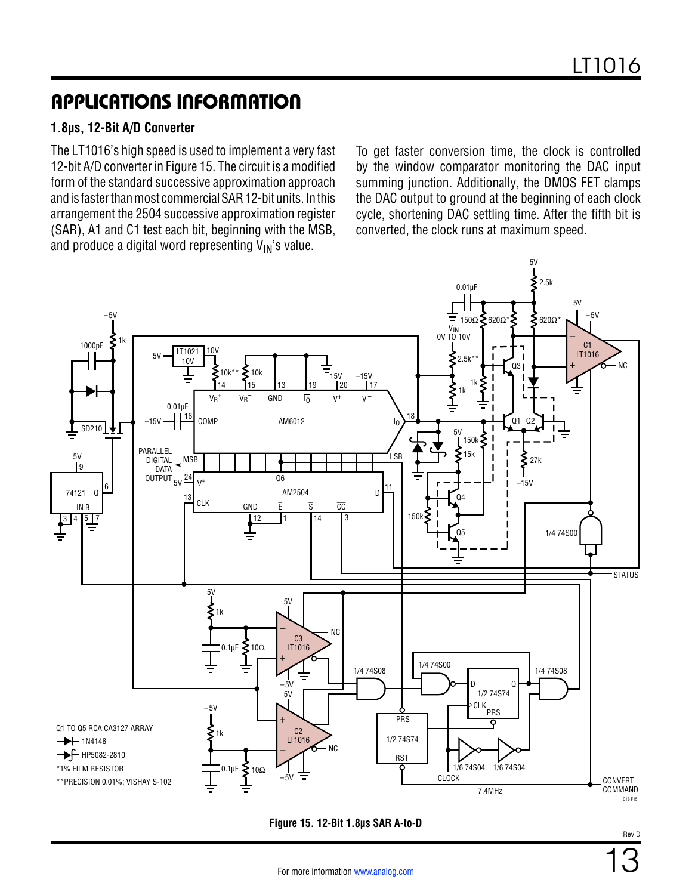#### **1.8µs, 12-Bit A/D Converter**

The LT1016's high speed is used to implement a very fast 12-bit A/D converter in [Figure 15](#page-12-0). The circuit is a modified form of the standard successive approximation approach andis fasterthanmost commercialSAR 12-bitunits. Inthis arrangement the 2504 successive approximation register (SAR), A1 and C1 test each bit, beginning with the MSB, and produce a digital word representing  $V_{IN}$ 's value.

To get faster conversion time, the clock is controlled by the window comparator monitoring the DAC input summing junction. Additionally, the DMOS FET clamps the DAC output to ground at the beginning of each clock cycle, shortening DAC settling time. After the fifth bit is converted, the clock runs at maximum speed.



#### <span id="page-12-0"></span>**Figure 15. 12-Bit 1.8µs SAR A-to-D**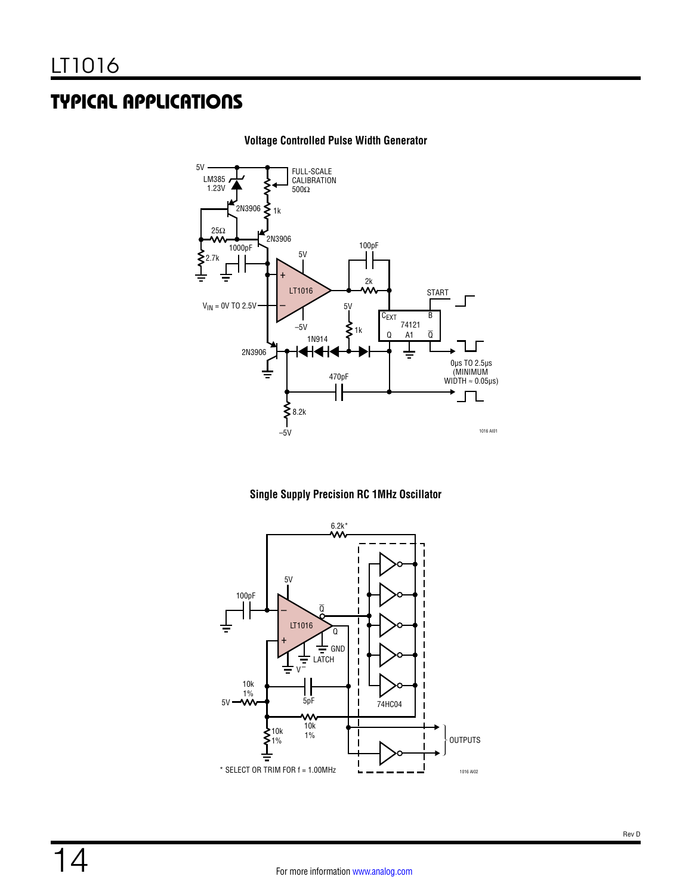## TYPICAL APPLICATIONS



#### **Voltage Controlled Pulse Width Generator**



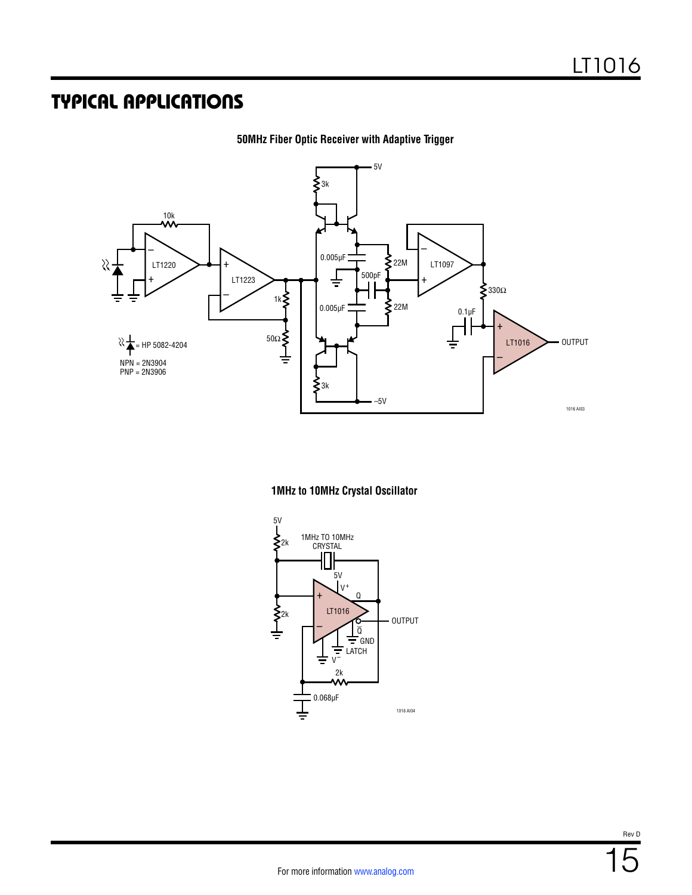### TYPICAL APPLICATIONS



**50MHz Fiber Optic Receiver with Adaptive Trigger**

#### **1MHz to 10MHz Crystal Oscillator**

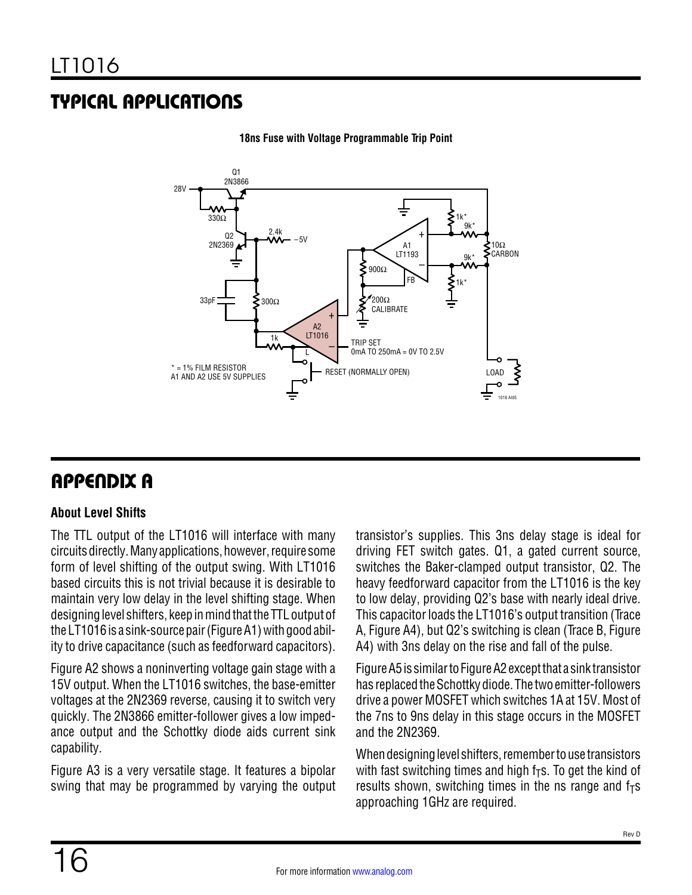# TYPICAL APPLICATIONS



**18ns Fuse with Voltage Programmable Trip Point**

### APPENDIX A

#### **About Level Shifts**

The TTL output of the LT1016 will interface with many circuits directly. Many applications, however, require some form of level shifting of the output swing. With LT1016 based circuits this is not trivial because it is desirable to maintain very low delay in the level shifting stage. When designing level shifters, keep in mind that the TTL output of the LT1016 is a sink-source pair (Figure A1) with good ability to drive capacitance (such as feedforward capacitors).

[Figure A2](#page-16-0) shows a noninverting voltage gain stage with a 15V output. When the LT1016 switches, the base-emitter voltages at the 2N2369 reverse, causing it to switch very quickly. The 2N3866 emitter-follower gives a low impedance output and the Schottky diode aids current sink capability.

[Figure A3](#page-16-1) is a very versatile stage. It features a bipolar swing that may be programmed by varying the output transistor's supplies. This 3ns delay stage is ideal for driving FET switch gates. Q1, a gated current source, switches the Baker-clamped output transistor, Q2. The heavy feedforward capacitor from the LT1016 is the key to low delay, providing Q2's base with nearly ideal drive. This capacitor loads the LT1016's output transition (Trace A, [Figure A4\)](#page-16-2), but Q2's switching is clean (Trace B, [Figure](#page-16-2) [A4](#page-16-2)) with 3ns delay on the rise and fall of the pulse.

[Figure A5](#page-16-3) is similar to [Figure A2](#page-16-0) except that a sink transistor has replaced the Schottky diode. The two emitter-followers drive a power MOSFET which switches 1A at 15V. Most of the 7ns to 9ns delay in this stage occurs in the MOSFET and the 2N2369.

When designing level shifters, remember to use transistors with fast switching times and high  $f<sub>T</sub>s$ . To get the kind of results shown, switching times in the ns range and  $f<sub>T</sub>$ s approaching 1GHz are required.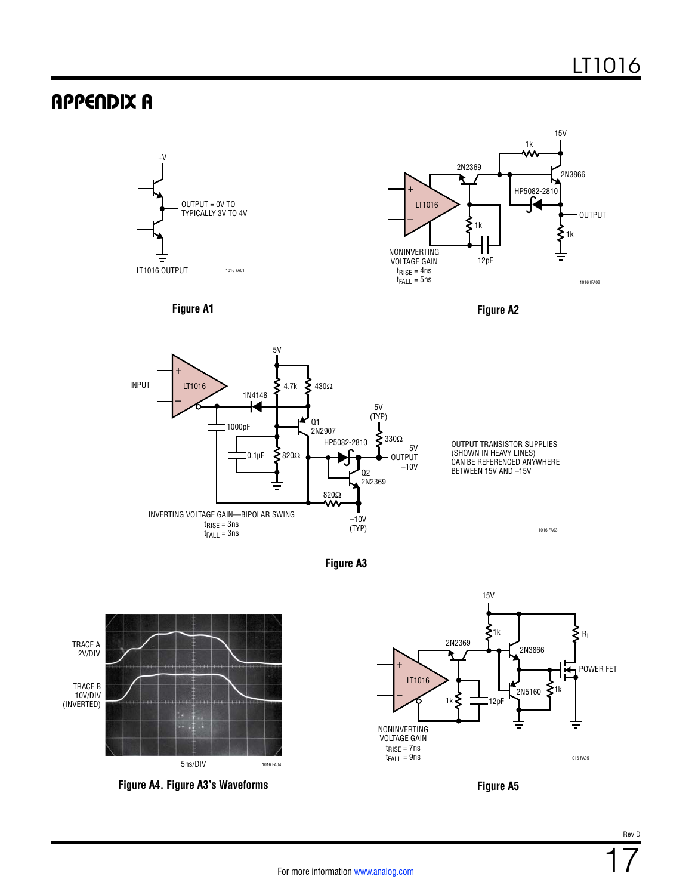### APPENDIX A



**Figure A3**



<span id="page-16-2"></span>

<span id="page-16-1"></span><span id="page-16-0"></span>

<span id="page-16-3"></span>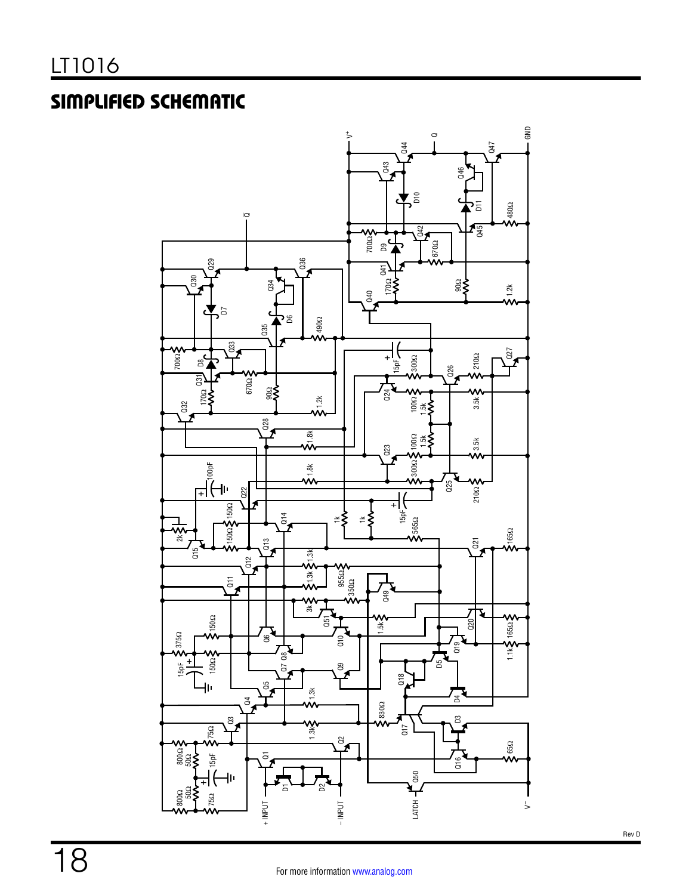# SIMPLIFIED SCHEMATIC

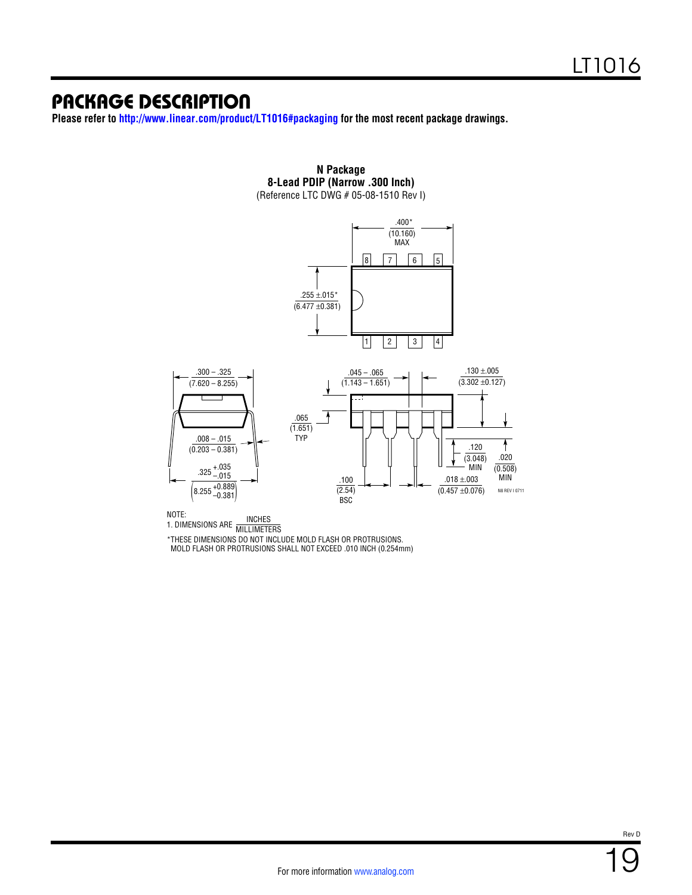### PACKAGE DESCRIPTION

**Please refer to [http://www.linear.com/product/LT1016#packaging](http://www.linear.com/product/LT1016#packaging?doc=lt1016.pdf) for the most recent package drawings.**



**N Package 8-Lead PDIP (Narrow .300 Inch)** (Reference LTC DWG # 05-08-1510 Rev I)

NOTE:

NOTE:<br>1. DIMENSIONS ARE MILLIMETERS

\*THESE DIMENSIONS DO NOT INCLUDE MOLD FLASH OR PROTRUSIONS. MOLD FLASH OR PROTRUSIONS SHALL NOT EXCEED .010 INCH (0.254mm)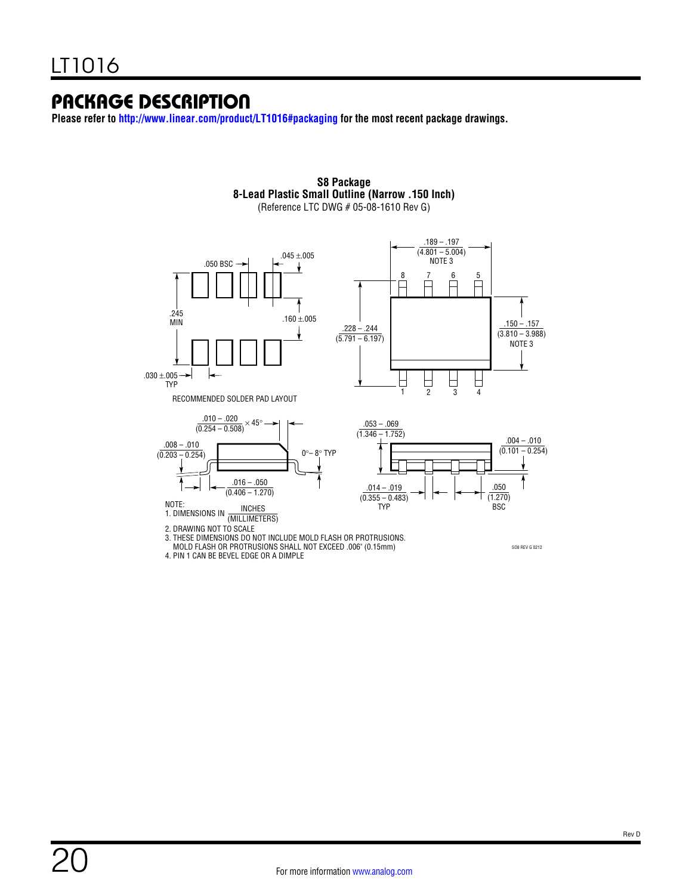### PACKAGE DESCRIPTION

**Please refer to [http://www.linear.com/product/LT1016#packaging](http://www.linear.com/product/LT1016#packaging?doc=lt1016.pdf) for the most recent package drawings.**



**S8 Package 8-Lead Plastic Small Outline (Narrow .150 Inch)** (Reference LTC DWG # 05-08-1610 Rev G)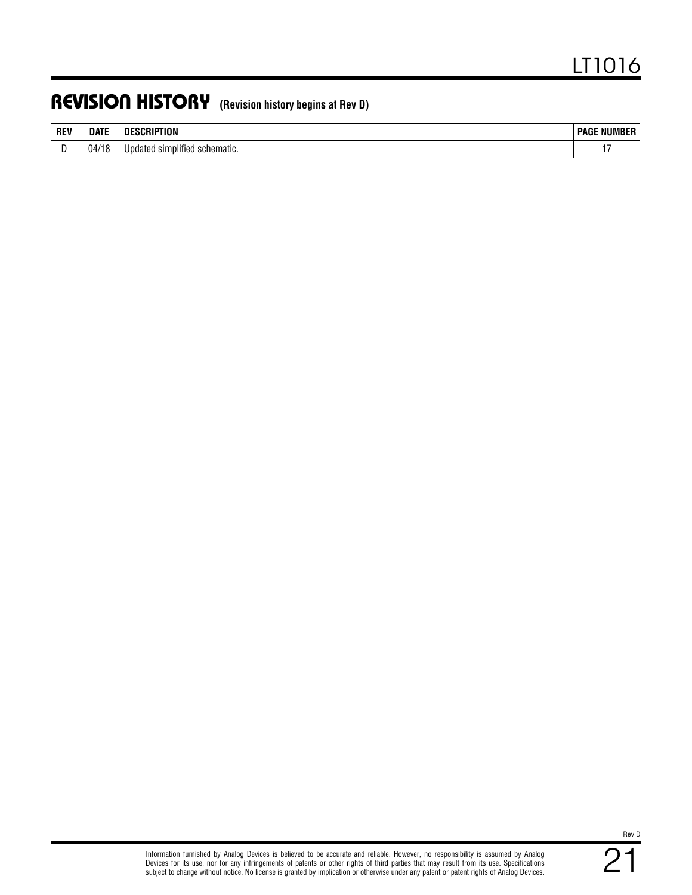### REVISION HISTORY **(Revision history begins at Rev D)**

| <b>REV</b> | Date       | DI<br>IUN                                       | : NUMBER<br>$\overline{\phantom{a}}$ PAG $\overline{\phantom{a}}$<br>UMBER |
|------------|------------|-------------------------------------------------|----------------------------------------------------------------------------|
|            | 04/1<br>۱Ο | $\cdots$<br>Updated<br>simplified<br>schematic. | . .                                                                        |